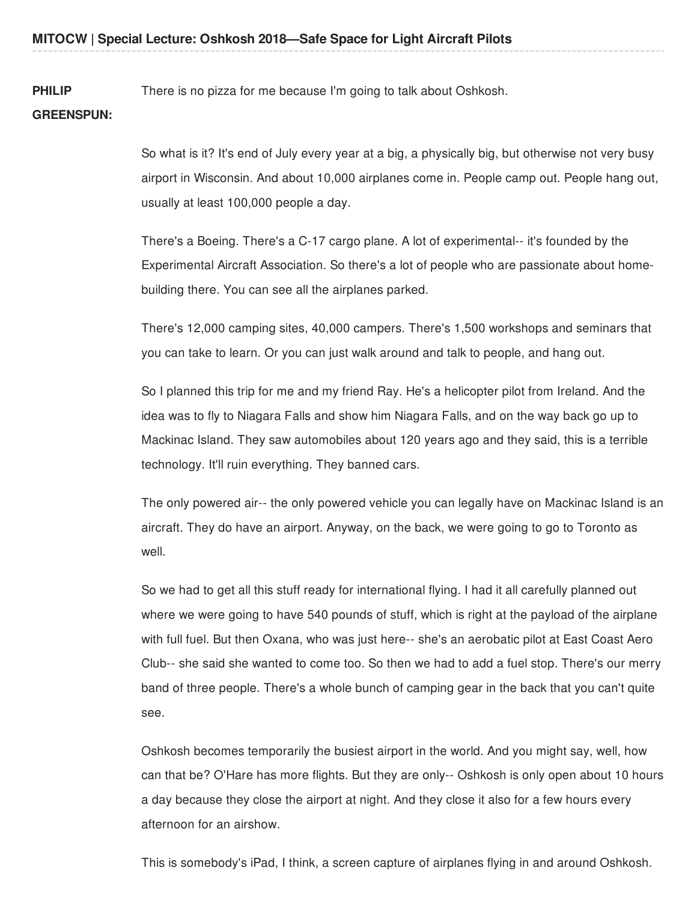**PHILIP** There is no pizza for me because I'm going to talk about Oshkosh.

## **GREENSPUN:**

So what is it? It's end of July every year at a big, a physically big, but otherwise not very busy airport in Wisconsin. And about 10,000 airplanes come in. People camp out. People hang out, usually at least 100,000 people a day.

There's a Boeing. There's a C-17 cargo plane. A lot of experimental-- it's founded by the Experimental Aircraft Association. So there's a lot of people who are passionate about homebuilding there. You can see all the airplanes parked.

There's 12,000 camping sites, 40,000 campers. There's 1,500 workshops and seminars that you can take to learn. Or you can just walk around and talk to people, and hang out.

So I planned this trip for me and my friend Ray. He's a helicopter pilot from Ireland. And the idea was to fly to Niagara Falls and show him Niagara Falls, and on the way back go up to Mackinac Island. They saw automobiles about 120 years ago and they said, this is a terrible technology. It'll ruin everything. They banned cars.

The only powered air-- the only powered vehicle you can legally have on Mackinac Island is an aircraft. They do have an airport. Anyway, on the back, we were going to go to Toronto as well.

So we had to get all this stuff ready for international flying. I had it all carefully planned out where we were going to have 540 pounds of stuff, which is right at the payload of the airplane with full fuel. But then Oxana, who was just here-- she's an aerobatic pilot at East Coast Aero Club-- she said she wanted to come too. So then we had to add a fuel stop. There's our merry band of three people. There's a whole bunch of camping gear in the back that you can't quite see.

Oshkosh becomes temporarily the busiest airport in the world. And you might say, well, how can that be? O'Hare has more flights. But they are only-- Oshkosh is only open about 10 hours a day because they close the airport at night. And they close it also for a few hours every afternoon for an airshow.

This is somebody's iPad, I think, a screen capture of airplanes flying in and around Oshkosh.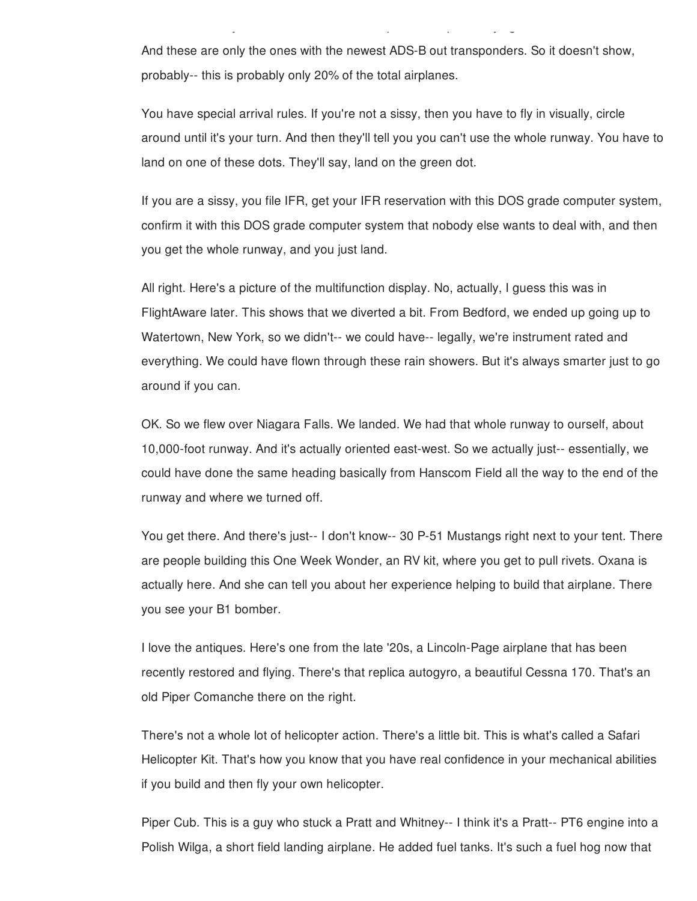And these are only the ones with the newest ADS-B out transponders. So it doesn't show, probably-- this is probably only 20% of the total airplanes.

This is somebody's iPad, I think, a screen capture of airplanes flying in and around Oshkosh.

You have special arrival rules. If you're not a sissy, then you have to fly in visually, circle around until it's your turn. And then they'll tell you you can't use the whole runway. You have to land on one of these dots. They'll say, land on the green dot.

If you are a sissy, you file IFR, get your IFR reservation with this DOS grade computer system, confirm it with this DOS grade computer system that nobody else wants to deal with, and then you get the whole runway, and you just land.

All right. Here's a picture of the multifunction display. No, actually, I guess this was in FlightAware later. This shows that we diverted a bit. From Bedford, we ended up going up to Watertown, New York, so we didn't-- we could have-- legally, we're instrument rated and everything. We could have flown through these rain showers. But it's always smarter just to go around if you can.

OK. So we flew over Niagara Falls. We landed. We had that whole runway to ourself, about 10,000-foot runway. And it's actually oriented east-west. So we actually just-- essentially, we could have done the same heading basically from Hanscom Field all the way to the end of the runway and where we turned off.

You get there. And there's just-- I don't know-- 30 P-51 Mustangs right next to your tent. There are people building this One Week Wonder, an RV kit, where you get to pull rivets. Oxana is actually here. And she can tell you about her experience helping to build that airplane. There you see your B1 bomber.

I love the antiques. Here's one from the late '20s, a Lincoln-Page airplane that has been recently restored and flying. There's that replica autogyro, a beautiful Cessna 170. That's an old Piper Comanche there on the right.

There's not a whole lot of helicopter action. There's a little bit. This is what's called a Safari Helicopter Kit. That's how you know that you have real confidence in your mechanical abilities if you build and then fly your own helicopter.

Piper Cub. This is a guy who stuck a Pratt and Whitney-- I think it's a Pratt-- PT6 engine into a Polish Wilga, a short field landing airplane. He added fuel tanks. It's such a fuel hog now that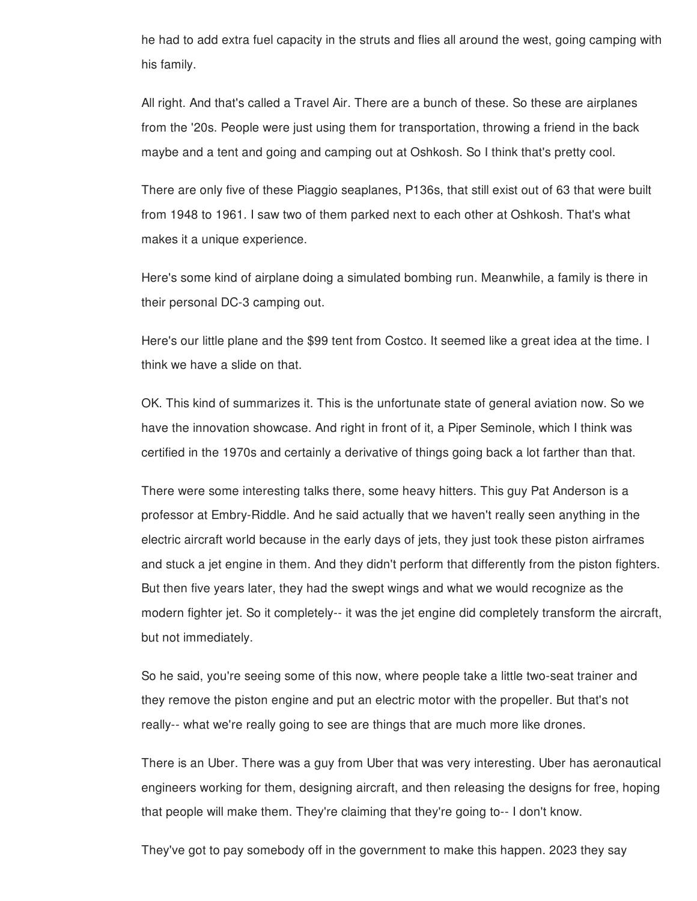he had to add extra fuel capacity in the struts and flies all around the west, going camping with his family.

All right. And that's called a Travel Air. There are a bunch of these. So these are airplanes from the '20s. People were just using them for transportation, throwing a friend in the back maybe and a tent and going and camping out at Oshkosh. So I think that's pretty cool.

There are only five of these Piaggio seaplanes, P136s, that still exist out of 63 that were built from 1948 to 1961. I saw two of them parked next to each other at Oshkosh. That's what makes it a unique experience.

Here's some kind of airplane doing a simulated bombing run. Meanwhile, a family is there in their personal DC-3 camping out.

Here's our little plane and the \$99 tent from Costco. It seemed like a great idea at the time. I think we have a slide on that.

OK. This kind of summarizes it. This is the unfortunate state of general aviation now. So we have the innovation showcase. And right in front of it, a Piper Seminole, which I think was certified in the 1970s and certainly a derivative of things going back a lot farther than that.

There were some interesting talks there, some heavy hitters. This guy Pat Anderson is a professor at Embry-Riddle. And he said actually that we haven't really seen anything in the electric aircraft world because in the early days of jets, they just took these piston airframes and stuck a jet engine in them. And they didn't perform that differently from the piston fighters. But then five years later, they had the swept wings and what we would recognize as the modern fighter jet. So it completely-- it was the jet engine did completely transform the aircraft, but not immediately.

So he said, you're seeing some of this now, where people take a little two-seat trainer and they remove the piston engine and put an electric motor with the propeller. But that's not really-- what we're really going to see are things that are much more like drones.

There is an Uber. There was a guy from Uber that was very interesting. Uber has aeronautical engineers working for them, designing aircraft, and then releasing the designs for free, hoping that people will make them. They're claiming that they're going to-- I don't know.

They've got to pay somebody off in the government to make this happen. 2023 they say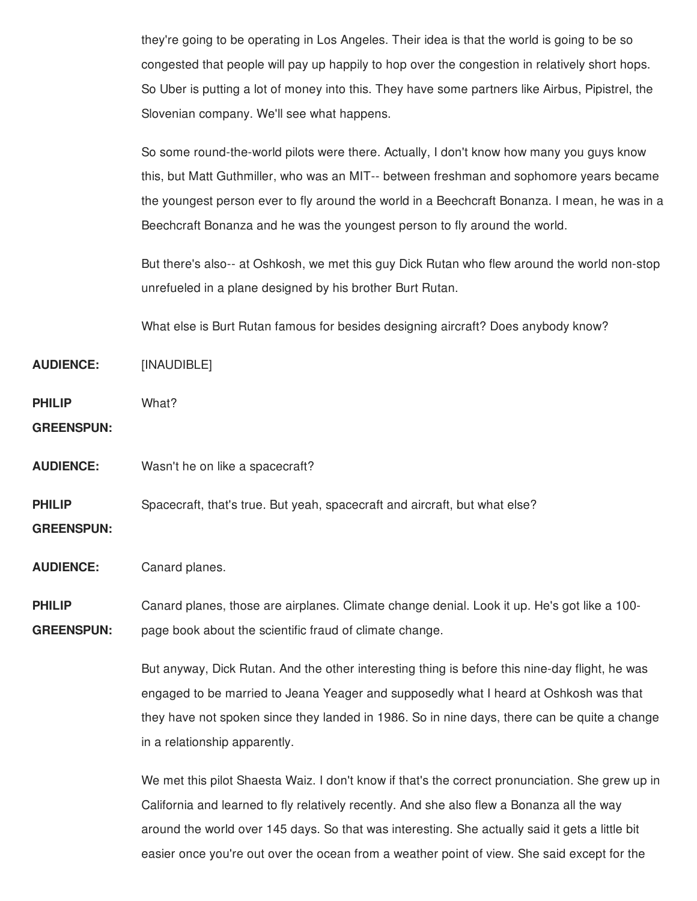they're going to be operating in Los Angeles. Their idea is that the world is going to be so congested that people will pay up happily to hop over the congestion in relatively short hops. So Uber is putting a lot of money into this. They have some partners like Airbus, Pipistrel, the Slovenian company. We'll see what happens.

So some round-the-world pilots were there. Actually, I don't know how many you guys know this, but Matt Guthmiller, who was an MIT-- between freshman and sophomore years became the youngest person ever to fly around the world in a Beechcraft Bonanza. I mean, he was in a Beechcraft Bonanza and he was the youngest person to fly around the world.

But there's also-- at Oshkosh, we met this guy Dick Rutan who flew around the world non-stop unrefueled in a plane designed by his brother Burt Rutan.

What else is Burt Rutan famous for besides designing aircraft? Does anybody know?

**AUDIENCE:** [INAUDIBLE]

**PHILIP** What?

**GREENSPUN:**

**AUDIENCE:** Wasn't he on like a spacecraft?

**PHILIP** Spacecraft, that's true. But yeah, spacecraft and aircraft, but what else?

**GREENSPUN:**

**AUDIENCE:** Canard planes.

**PHILIP GREENSPUN:** Canard planes, those are airplanes. Climate change denial. Look it up. He's got like a 100 page book about the scientific fraud of climate change.

> But anyway, Dick Rutan. And the other interesting thing is before this nine-day flight, he was engaged to be married to Jeana Yeager and supposedly what I heard at Oshkosh was that they have not spoken since they landed in 1986. So in nine days, there can be quite a change in a relationship apparently.

> We met this pilot Shaesta Waiz. I don't know if that's the correct pronunciation. She grew up in California and learned to fly relatively recently. And she also flew a Bonanza all the way around the world over 145 days. So that was interesting. She actually said it gets a little bit easier once you're out over the ocean from a weather point of view. She said except for the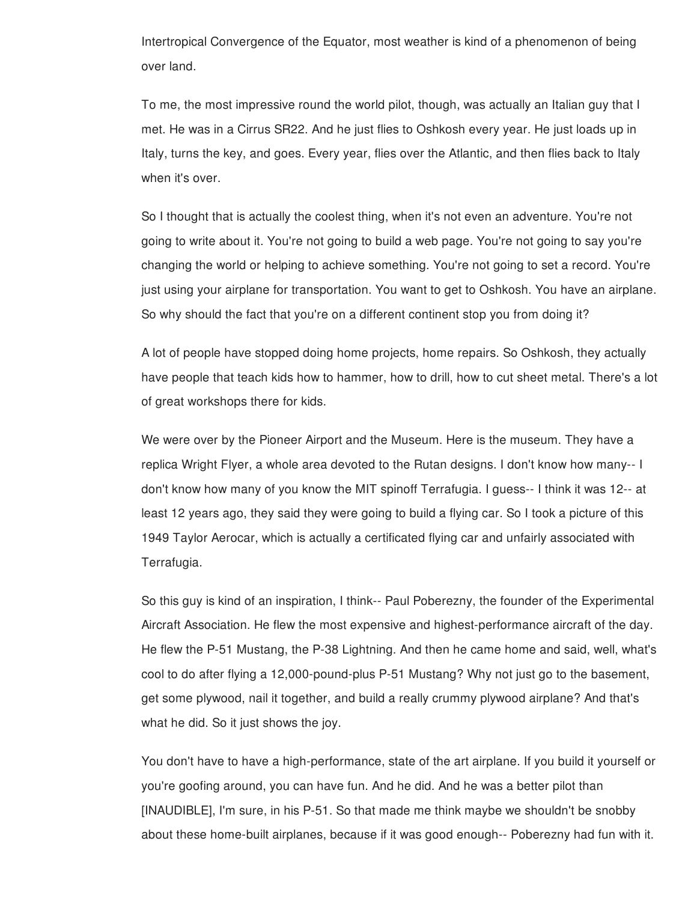Intertropical Convergence of the Equator, most weather is kind of a phenomenon of being over land.

To me, the most impressive round the world pilot, though, was actually an Italian guy that I met. He was in a Cirrus SR22. And he just flies to Oshkosh every year. He just loads up in Italy, turns the key, and goes. Every year, flies over the Atlantic, and then flies back to Italy when it's over.

So I thought that is actually the coolest thing, when it's not even an adventure. You're not going to write about it. You're not going to build a web page. You're not going to say you're changing the world or helping to achieve something. You're not going to set a record. You're just using your airplane for transportation. You want to get to Oshkosh. You have an airplane. So why should the fact that you're on a different continent stop you from doing it?

A lot of people have stopped doing home projects, home repairs. So Oshkosh, they actually have people that teach kids how to hammer, how to drill, how to cut sheet metal. There's a lot of great workshops there for kids.

We were over by the Pioneer Airport and the Museum. Here is the museum. They have a replica Wright Flyer, a whole area devoted to the Rutan designs. I don't know how many-- I don't know how many of you know the MIT spinoff Terrafugia. I guess-- I think it was 12-- at least 12 years ago, they said they were going to build a flying car. So I took a picture of this 1949 Taylor Aerocar, which is actually a certificated flying car and unfairly associated with Terrafugia.

So this guy is kind of an inspiration, I think-- Paul Poberezny, the founder of the Experimental Aircraft Association. He flew the most expensive and highest-performance aircraft of the day. He flew the P-51 Mustang, the P-38 Lightning. And then he came home and said, well, what's cool to do after flying a 12,000-pound-plus P-51 Mustang? Why not just go to the basement, get some plywood, nail it together, and build a really crummy plywood airplane? And that's what he did. So it just shows the joy.

You don't have to have a high-performance, state of the art airplane. If you build it yourself or you're goofing around, you can have fun. And he did. And he was a better pilot than [INAUDIBLE], I'm sure, in his P-51. So that made me think maybe we shouldn't be snobby about these home-built airplanes, because if it was good enough-- Poberezny had fun with it.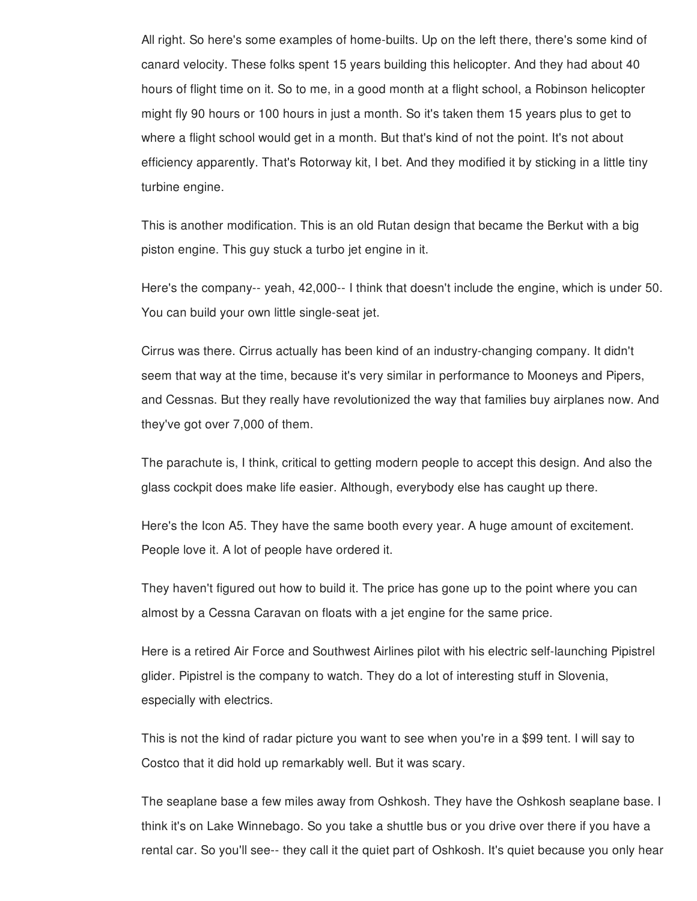All right. So here's some examples of home-builts. Up on the left there, there's some kind of canard velocity. These folks spent 15 years building this helicopter. And they had about 40 hours of flight time on it. So to me, in a good month at a flight school, a Robinson helicopter might fly 90 hours or 100 hours in just a month. So it's taken them 15 years plus to get to where a flight school would get in a month. But that's kind of not the point. It's not about efficiency apparently. That's Rotorway kit, I bet. And they modified it by sticking in a little tiny turbine engine.

This is another modification. This is an old Rutan design that became the Berkut with a big piston engine. This guy stuck a turbo jet engine in it.

Here's the company-- yeah, 42,000-- I think that doesn't include the engine, which is under 50. You can build your own little single-seat jet.

Cirrus was there. Cirrus actually has been kind of an industry-changing company. It didn't seem that way at the time, because it's very similar in performance to Mooneys and Pipers, and Cessnas. But they really have revolutionized the way that families buy airplanes now. And they've got over 7,000 of them.

The parachute is, I think, critical to getting modern people to accept this design. And also the glass cockpit does make life easier. Although, everybody else has caught up there.

Here's the Icon A5. They have the same booth every year. A huge amount of excitement. People love it. A lot of people have ordered it.

They haven't figured out how to build it. The price has gone up to the point where you can almost by a Cessna Caravan on floats with a jet engine for the same price.

Here is a retired Air Force and Southwest Airlines pilot with his electric self-launching Pipistrel glider. Pipistrel is the company to watch. They do a lot of interesting stuff in Slovenia, especially with electrics.

This is not the kind of radar picture you want to see when you're in a \$99 tent. I will say to Costco that it did hold up remarkably well. But it was scary.

The seaplane base a few miles away from Oshkosh. They have the Oshkosh seaplane base. I think it's on Lake Winnebago. So you take a shuttle bus or you drive over there if you have a rental car. So you'll see-- they call it the quiet part of Oshkosh. It's quiet because you only hear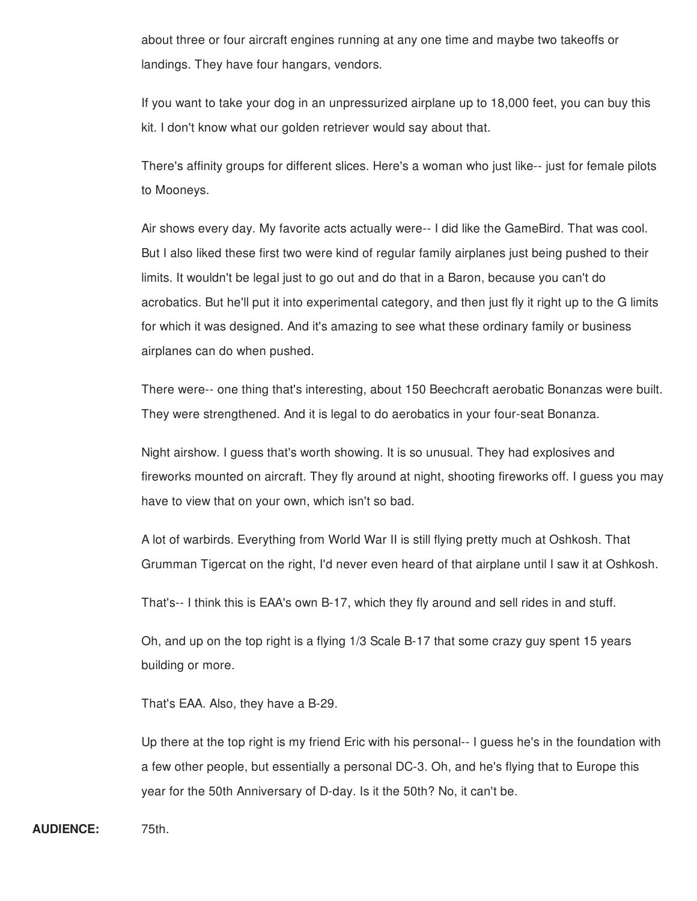about three or four aircraft engines running at any one time and maybe two takeoffs or landings. They have four hangars, vendors.

If you want to take your dog in an unpressurized airplane up to 18,000 feet, you can buy this kit. I don't know what our golden retriever would say about that.

There's affinity groups for different slices. Here's a woman who just like-- just for female pilots to Mooneys.

Air shows every day. My favorite acts actually were-- I did like the GameBird. That was cool. But I also liked these first two were kind of regular family airplanes just being pushed to their limits. It wouldn't be legal just to go out and do that in a Baron, because you can't do acrobatics. But he'll put it into experimental category, and then just fly it right up to the G limits for which it was designed. And it's amazing to see what these ordinary family or business airplanes can do when pushed.

There were-- one thing that's interesting, about 150 Beechcraft aerobatic Bonanzas were built. They were strengthened. And it is legal to do aerobatics in your four-seat Bonanza.

Night airshow. I guess that's worth showing. It is so unusual. They had explosives and fireworks mounted on aircraft. They fly around at night, shooting fireworks off. I guess you may have to view that on your own, which isn't so bad.

A lot of warbirds. Everything from World War II is still flying pretty much at Oshkosh. That Grumman Tigercat on the right, I'd never even heard of that airplane until I saw it at Oshkosh.

That's-- I think this is EAA's own B-17, which they fly around and sell rides in and stuff.

Oh, and up on the top right is a flying 1/3 Scale B-17 that some crazy guy spent 15 years building or more.

That's EAA. Also, they have a B-29.

Up there at the top right is my friend Eric with his personal-- I guess he's in the foundation with a few other people, but essentially a personal DC-3. Oh, and he's flying that to Europe this year for the 50th Anniversary of D-day. Is it the 50th? No, it can't be.

**AUDIENCE:** 75th.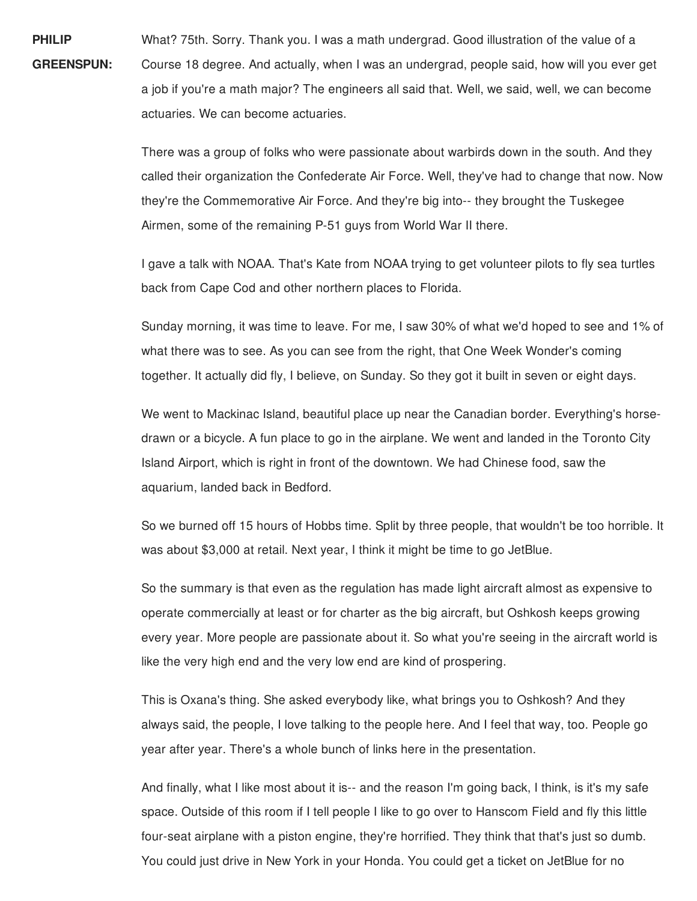**PHILIP GREENSPUN:** What? 75th. Sorry. Thank you. I was a math undergrad. Good illustration of the value of a Course 18 degree. And actually, when I was an undergrad, people said, how will you ever get a job if you're a math major? The engineers all said that. Well, we said, well, we can become actuaries. We can become actuaries.

> There was a group of folks who were passionate about warbirds down in the south. And they called their organization the Confederate Air Force. Well, they've had to change that now. Now they're the Commemorative Air Force. And they're big into-- they brought the Tuskegee Airmen, some of the remaining P-51 guys from World War II there.

I gave a talk with NOAA. That's Kate from NOAA trying to get volunteer pilots to fly sea turtles back from Cape Cod and other northern places to Florida.

Sunday morning, it was time to leave. For me, I saw 30% of what we'd hoped to see and 1% of what there was to see. As you can see from the right, that One Week Wonder's coming together. It actually did fly, I believe, on Sunday. So they got it built in seven or eight days.

We went to Mackinac Island, beautiful place up near the Canadian border. Everything's horsedrawn or a bicycle. A fun place to go in the airplane. We went and landed in the Toronto City Island Airport, which is right in front of the downtown. We had Chinese food, saw the aquarium, landed back in Bedford.

So we burned off 15 hours of Hobbs time. Split by three people, that wouldn't be too horrible. It was about \$3,000 at retail. Next year, I think it might be time to go JetBlue.

So the summary is that even as the regulation has made light aircraft almost as expensive to operate commercially at least or for charter as the big aircraft, but Oshkosh keeps growing every year. More people are passionate about it. So what you're seeing in the aircraft world is like the very high end and the very low end are kind of prospering.

This is Oxana's thing. She asked everybody like, what brings you to Oshkosh? And they always said, the people, I love talking to the people here. And I feel that way, too. People go year after year. There's a whole bunch of links here in the presentation.

And finally, what I like most about it is-- and the reason I'm going back, I think, is it's my safe space. Outside of this room if I tell people I like to go over to Hanscom Field and fly this little four-seat airplane with a piston engine, they're horrified. They think that that's just so dumb. You could just drive in New York in your Honda. You could get a ticket on JetBlue for no